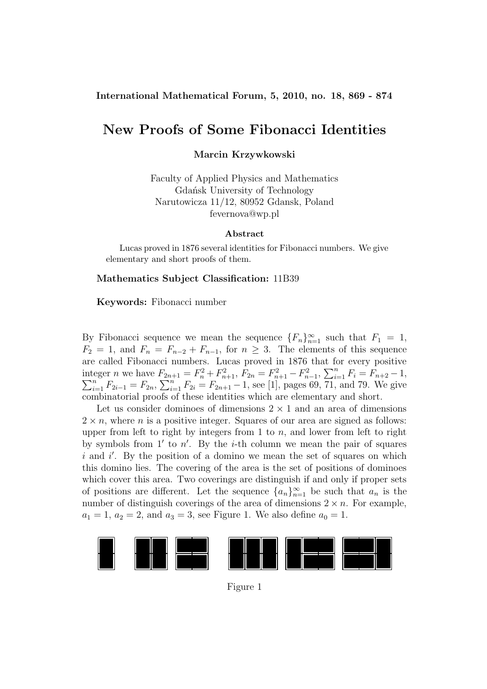## **International Mathematical Forum, 5, 2010, no. 18, 869 - 874**

## **New Proofs of Some Fibonacci Identities**

## **Marcin Krzywkowski**

Faculty of Applied Physics and Mathematics Gdańsk University of Technology Narutowicza 11/12, 80952 Gdansk, Poland fevernova@wp.pl

#### **Abstract**

Lucas proved in 1876 several identities for Fibonacci numbers. We give elementary and short proofs of them.

#### **Mathematics Subject Classification:** 11B39

#### **Keywords:** Fibonacci number

By Fibonacci sequence we mean the sequence  ${F_n}_{n=1}^{\infty}$  such that  $F_1 = 1$ ,  $F_2 = 1$ , and  $F_n = F_{n-2} + F_{n-1}$ , for  $n \geq 3$ . The elements of this sequence are called Fibonacci numbers. Lucas proved in 1876 that for every positive integer *n* we have  $F_{2n+1} = F_n^2 + F_{n+1}^2$ ,  $F_{2n} = F_{n+1}^2 - F_{n-1}^2$ ,  $\sum_{i=1}^n F_{i}^2 + F_{n+1}^2 = F_{n+1}^2 - F_{n-1}^2$  $\sum$ leger *n* we have  $F_{2n+1} = F_n^2 + F_{n+1}^2$ ,  $F_{2n} = F_{n+1}^2 - F_{n-1}^2$ ,  $\sum_{i=1}^n F_i = F_{n+2} - 1$ ,  $\sum_{i=1}^n F_{2i-1} = F_{2n}$ ,  $\sum_{i=1}^n F_{2i} = F_{2n+1} - 1$ , see [1], pages 69, 71, and 79. We give combinatorial proofs of these identities which are elementary and short.

Let us consider dominoes of dimensions  $2 \times 1$  and an area of dimensions  $2 \times n$ , where *n* is a positive integer. Squares of our area are signed as follows: upper from left to right by integers from 1 to  $n$ , and lower from left to right by symbols from 1' to  $n'$ . By the *i*-th column we mean the pair of squares  $i$  and  $i'$ . By the position of a domino we mean the set of squares on which this domino lies. The covering of the area is the set of positions of dominoes which cover this area. Two coverings are distinguish if and only if proper sets of positions are different. Let the sequence  $\{a_n\}_{n=1}^{\infty}$  be such that  $a_n$  is the number of distinguish coverings of the area of dimensions  $2 \times n$ . For example,  $a_1 = 1, a_2 = 2, \text{ and } a_3 = 3, \text{ see Figure 1. We also define } a_0 = 1.$ 



Figure 1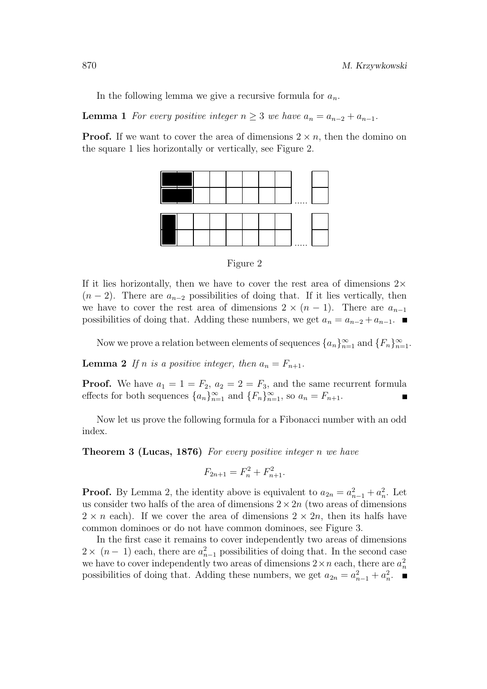In the following lemma we give a recursive formula for  $a_n$ .

**Lemma 1** *For every positive integer*  $n \geq 3$  *we have*  $a_n = a_{n-2} + a_{n-1}$ *.* 

**Proof.** If we want to cover the area of dimensions  $2 \times n$ , then the domino on the square 1 lies horizontally or vertically, see Figure 2.



Figure 2

If it lies horizontally, then we have to cover the rest area of dimensions  $2\times$  $(n-2)$ . There are  $a_{n-2}$  possibilities of doing that. If it lies vertically, then we have to cover the rest area of dimensions  $2 \times (n-1)$ . There are  $a_{n-1}$ possibilities of doing that. Adding these numbers, we get  $a_n = a_{n-2} + a_{n-1}$ . ■

Now we prove a relation between elements of sequences  $\{a_n\}_{n=1}^{\infty}$  and  $\{F_n\}_{n=1}^{\infty}$ .

**Lemma** 2 If *n* is a positive integer, then  $a_n = F_{n+1}$ .

**Proof.** We have  $a_1 = 1 = F_2$ ,  $a_2 = 2 = F_3$ , and the same recurrent formula effects for both sequences  $\{a_n\}_{n=1}^{\infty}$  and  $\{F_n\}_{n=1}^{\infty}$ , so  $a_n = F_{n+1}$ .

Now let us prove the following formula for a Fibonacci number with an odd index.

**Theorem 3 (Lucas, 1876)** *For every positive integer* n *we have*

$$
F_{2n+1} = F_n^2 + F_{n+1}^2.
$$

**Proof.** By Lemma 2, the identity above is equivalent to  $a_{2n} = a_{n-1}^2 + a_n^2$ . Let us consider two halfs of the area of dimensions  $2 \times 2n$  (two areas of dimensions  $2 \times n$  each). If we cover the area of dimensions  $2 \times 2n$ , then its halfs have common dominoes or do not have common dominoes, see Figure 3.

In the first case it remains to cover independently two areas of dimensions  $2 \times (n-1)$  each, there are  $a_{n-1}^2$  possibilities of doing that. In the second case we have to cover independently two areas of dimensions  $2 \times n$  each, there are  $a_n^2$ possibilities of doing that. Adding these numbers, we get  $a_{2n} = a_{n-1}^2 + a_n^2$ .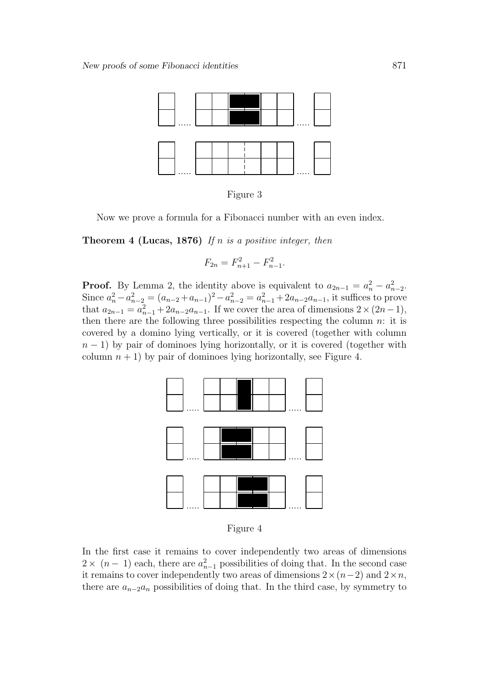

Figure 3

Now we prove a formula for a Fibonacci number with an even index.

**Theorem 4 (Lucas, 1876)** *If* n *is a positive integer, then*

$$
F_{2n} = F_{n+1}^2 - F_{n-1}^2.
$$

**Proof.** By Lemma 2, the identity above is equivalent to  $a_{2n-1} = a_n^2 - a_{n-2}^2$ . Since  $a_n^2 - a_{n-2}^2 = (a_{n-2} + a_{n-1})^2 - a_{n-2}^2 = a_{n-1}^2 + 2a_{n-2}a_{n-1}$ , it suffices to prove that  $a_{2n-1} = a_{n-1}^2 + 2a_{n-2}a_{n-1}$ . If we cover the area of dimensions  $2 \times (2n-1)$ , then there are the following three possibilities respecting the column  $n$ : it is covered by a domino lying vertically, or it is covered (together with column  $n-1$ ) by pair of dominoes lying horizontally, or it is covered (together with column  $n + 1$ ) by pair of dominoes lying horizontally, see Figure 4.



Figure 4

In the first case it remains to cover independently two areas of dimensions  $2 \times (n-1)$  each, there are  $a_{n-1}^2$  possibilities of doing that. In the second case it remains to cover independently two areas of dimensions  $2\times(n-2)$  and  $2\times n$ , there are  $a_{n-2}a_n$  possibilities of doing that. In the third case, by symmetry to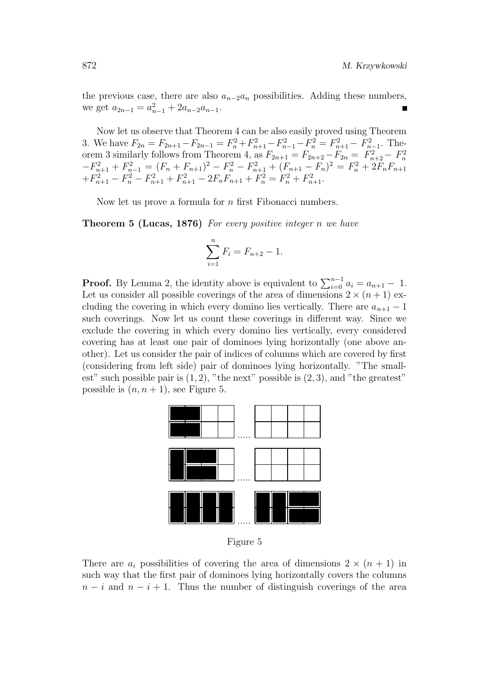the previous case, there are also  $a_{n-2}a_n$  possibilities. Adding these numbers, we get  $a_{2n-1} = a_{n-1}^2 + 2a_{n-2}a_{n-1}$ .

Now let us observe that Theorem 4 can be also easily proved using Theorem 3. We have  $F_{2n} = F_{2n+1} - F_{2n-1} = F_n^2 + F_{n+1}^2 - F_{n-1}^2 - F_n^2 = F_{n+1}^2 - F_{n-1}^2$ . The orem 3 similarly follows from Theorem 4, as  $F_{2n+1} = F_{2n+2} - F_{2n} = F_{n+2}^2 - F_n^2$  $-F_{n+1}^2 + F_{n-1}^2 = (F_n + F_{n+1})^2 - F_n^2 - F_{n+1}^2 + (F_{n+1} - F_n)^2 = F_n^2 + 2F_nF_{n+1}$  $+F_{n+1}^2 - F_n^2 - F_{n+1}^2 + F_{n+1}^2 - 2F_nF_{n+1} + F_n^2 = F_n^2 + F_{n+1}^2$ 

Now let us prove a formula for  $n$  first Fibonacci numbers.

**Theorem 5 (Lucas, 1876)** *For every positive integer* n *we have*

$$
\sum_{i=1}^{n} F_i = F_{n+2} - 1.
$$

**Proof.** By Lemma 2, the identity above is equivalent to  $\sum_{i=0}^{n-1} a_i = a_{n+1} - 1$ . Let us consider all possible coverings of the area of dimensions  $2 \times (n+1)$  excluding the covering in which every domino lies vertically. There are  $a_{n+1} - 1$ such coverings. Now let us count these coverings in different way. Since we exclude the covering in which every domino lies vertically, every considered covering has at least one pair of dominoes lying horizontally (one above another). Let us consider the pair of indices of columns which are covered by first (considering from left side) pair of dominoes lying horizontally. "The smallest" such possible pair is  $(1, 2)$ , "the next" possible is  $(2, 3)$ , and "the greatest" possible is  $(n, n + 1)$ , see Figure 5.



Figure 5

There are  $a_i$  possibilities of covering the area of dimensions  $2 \times (n + 1)$  in such way that the first pair of dominoes lying horizontally covers the columns  $n-i$  and  $n-i+1$ . Thus the number of distinguish coverings of the area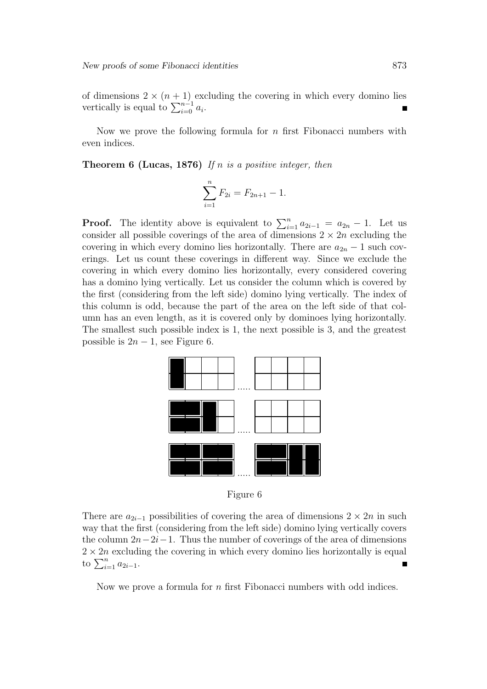of dimensions  $2 \times (n + 1)$  excluding the covering in which every domino lies vertically is equal to  $\sum_{i=0}^{n-1} a_i$ .

Now we prove the following formula for  $n$  first Fibonacci numbers with even indices.

**Theorem 6 (Lucas, 1876)** *If* n *is a positive integer, then*

$$
\sum_{i=1}^{n} F_{2i} = F_{2n+1} - 1.
$$

**Proof.** The identity above is equivalent to  $\sum_{i=1}^{n} a_{2i-1} = a_{2n} - 1$ . Let us consider all possible coverings of the area of dimensions  $2 \times 2n$  excluding the covering in which every domino lies horizontally. There are  $a_{2n} - 1$  such coverings. Let us count these coverings in different way. Since we exclude the covering in which every domino lies horizontally, every considered covering has a domino lying vertically. Let us consider the column which is covered by the first (considering from the left side) domino lying vertically. The index of this column is odd, because the part of the area on the left side of that column has an even length, as it is covered only by dominoes lying horizontally. The smallest such possible index is 1, the next possible is 3, and the greatest possible is  $2n - 1$ , see Figure 6.



Figure 6

There are  $a_{2i-1}$  possibilities of covering the area of dimensions  $2 \times 2n$  in such way that the first (considering from the left side) domino lying vertically covers the column  $2n-2i-1$ . Thus the number of coverings of the area of dimensions  $2 \times 2n$  excluding the covering in which every domino lies horizontally is equal to  $\sum_{i=1}^{n} a_{2i-1}$ .

Now we prove a formula for n first Fibonacci numbers with odd indices.